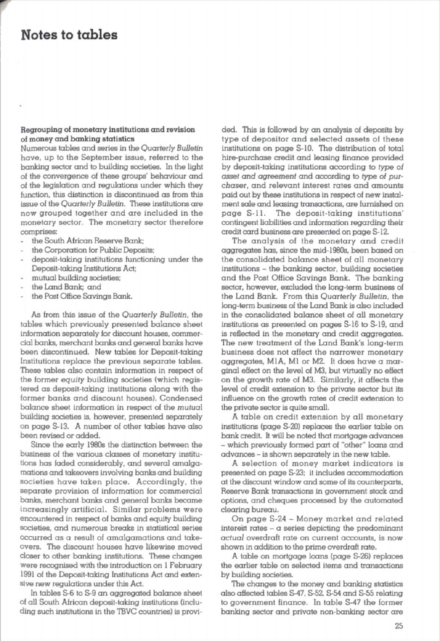## Notes to tables

### Regrouping of monetary institutions and revision of money and banking statistics

Numerous tables and series in the *Quarterly Bulletin*  have. up to the September issue, referred to the banking sector and to building societies. In the light of the oonvergence of these groups' behaviour and of the legislation and regulations under which they function, this distinction is discontinued as from this issue of the *Quarterly Bulletin.* These institutions are now grouped together and are included in the monetary sector. The monetary sector therefore comprises:

- the South African Reserve Bank;
- the Corporation for Public Deposits:
- deposit-taking institutions functioning under the Deposil·taking Institutions Act;
- mutual building societies;
- the Land Bank; and
- the Post Office Savings Bank.

As {rom this issue of the *Quarterly Bulletin.* the tables which previously presented balance sheet information separately for discount houses, commercial banks, merchant banks and general banks have been discontin ued. New tables for Deposit-taking Institutions replace the previous separate tables. These tables also contain information in respect of the former equity building societies (which registe red as deposit-taking institutions along with the former banks and discount houses). Condensed balance sheet information in respect of the mutual building societies is, however, presented separately on page 5-13. A number of other tables have also been revised or added.

Since the early 1930s the distinction between the business of the various classes of monetary institutions has faded considerably, and several amalgamations and takeovers involving banks and bullding societies have taken place. Accordingly, the separate provision of information for commercial banks, merchant banks and general banks became Increasingly artificial. Similar problems were encountered in respect of banks and equity building SOCieties, and numerous breaks in statistiool series occurred as a result of amalgamations and takeovers. The discount houses have likewise moved closer to other banking institutions. These changes were recognised with the introduction on 1 February 1991 of the Deposit-taking Institutions Act and extensive new regulations under this Act.

In tables S-6 to S-9 an aggregated balance sheet of all South African deposit-taking institutions (including such institutions in the TBVC countries) is provided. This is followed by an analysis of deposits by type of depositor and selected assets of these institutions on page 8-10. The distribution of total hire-purchase credit and leasing finance provided by deposit-taking institutions according to type of asset and agreement and according to type of purchaser, and relevant interest rates and amounts paid out by these institutions in respect of new instal-.<br>ment sale and leasing transactions, are furnished on page S-11. The deposit-taking institutions' contingent liabilities and information regarding their credit card business are presented on page S-12.

The analysis of the monetary and credit aggregates has, since the mid-l980s, been based on the consolidated balance sheet of all monetary institutions - the banking sector, building societies and the Post Office Savings Bank. The banking sector, however, excluded the long-term business of the Land Bank. From this Quarterly Bulletin, the long-term business of the Land Bank is also included in the consolidated balance sheet of all monetary institutions as presented on pages S-16 to S-19, and is reflected in the monetary and credit aggregates. The new treatment of the Land Bank's long-term business does not affect the narrower monetary aggregates, MIA, MI or M2. It does have a marginal effect on the level of M3, but virtually no effect on the growth rote of M3. Similarly, it affects the level of credit extension to the private sector but its influence on the growth rates of credit extension to the private sector is quite small.

A table on credit extension by all monetary institutions (page 5-20) replaces the earlier table on bank credit. It will be noted that mortgage advances - which previously formed part of "other" Icons and advances - is shown separately In the new table.

A selection of money market indicators is presented. on page 5-23; it includes accommodation at the discount window and some of its counterparts, Reserve Bank transactions in government stock and options, and cheques processed by the automated clearing bweau.

On page S-24 - Money market and related interest rates  $-$  a series depicting the predominant actual overdraft rate on current accounts, is now shown in addition to the prime overdraft rate.

A table on mortgage loans (page S-26) replaces the earlier table on selected items and transactions by building societies.

The changes to the money and banking statistics also affected tables 5-47, 5-52, S-S4 and 5-55 relating to government finance. In table S-47 the former banking sector and private non-banking sector are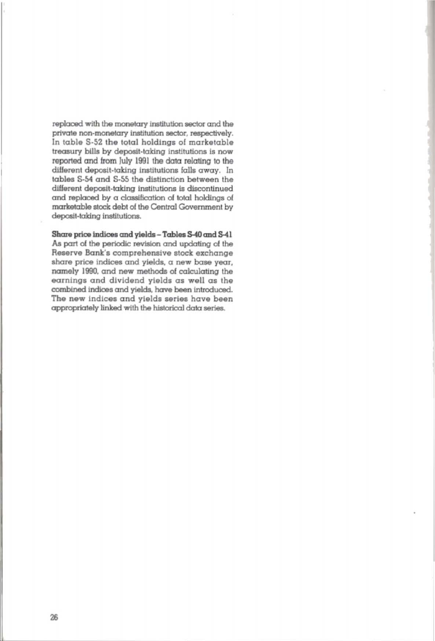replaced with the monetary institution sector and the private non-monetary institution sector, respectively. In lable 5-52 the total holdings of marketable treasury bills by deposit-taking institutions is now reported and from July 1991 the data relating to the different deposit-taking institutions falls away. In tables 5-S4 and 5-55 the distinction between the different deposit-taking institutions is discontinued and replaced by a classification of total holdings of marketable stock debt of the Central Government by deposit-taking institutions.

## Share price indices and yields - Tables S-40 and S-41

As part of the periodic revision and updating of the Reserve Bank's comprehensive stock exchange share price indices and yields, a new base year, namely 1990. and new methods of calculating the earnings and dividend yields as well as the combined indices and yields, have been introduced. The new indices and yields series have been appropriately linked with the historical data series.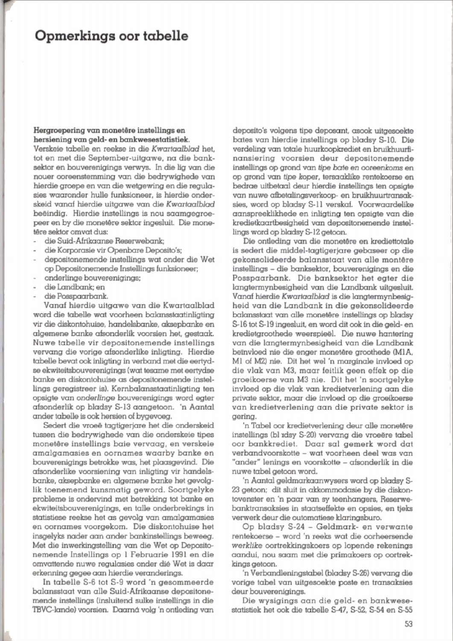# Opmerkings oor tabelle

#### Hergroepering van monetêre instellings en bersiening van geld- en bankwesestatistiek.

Verskeie tabelle en reekse in die Kwartaalblad het. tot en met die September-uitgawe, na die bank*sabot* en bouverenigings verwys. In die Jig van die nouer ooraenstemming van die bedrywighede van hierdie groepe en van die wetgewing en die regulasies waaronder hulle funksioneer, is hierdie onderskeid vanaf hierdie uitgawe van die Kwartaalblad beëindig. Hierdie instellings is nou saamgegroepeer en by die monetêre sektor ingesluit. Die monetêre sektor omvat dus:

- die Suid.-Afrikaanse Reserwebank;
- die Korporasie vir Openbare Deposito's: ÷.
- depositonemende instellings wet onder die Wet op Depositonemende Instellings funksioneer;
- onderlinge bouverenigings;
- die Landbank; en
- die Posspaarbank.

Vonaf hierdie uitgawe van die KwortaaJbJod word die tabelle wat voorheen balansstaatinligting vir die diskontohuise, handelsbanke, aksepbanke en algemene banke afsonderlik voorsien het, gestaak. Nuwe tabelle vir depositonemende instellings vervang die vorige afsonderlike inligting. Hierdie tabelle bevat ook inligting in verband met die eertydse ekwiteitsbouverenigings (wat tesame met eertydse banke en diskontohuise as depositonemende instellings geregistreer is). Kernbalansstaatinligting ten opsigte van *onderlinge* bouverenigings word egler afsonderlik op bladsy 8- 13 aangetoon. 'n Aantal onder tabelle is ook. hersien of bygevoeg,

Sedert die vroeë tagtigeriare het die onderskeid tussen die bedrywlghede van die onderskeie tipes monet6re instellings bale vervaag, en verskeie amalgamasies en oornames waarby banke en bouverenigings betrokke was, hel plaasgevind. Die afsonderlike voorsiening van inligting vir handelsbanke, aksepbanke en aigemena banke het gevolg-Iik toenemend kunsmalig geword. Soortgelyke problema is ondervind met betrekking tot banka en ekwiteitsbouverenigings, en toile onderbrekings in statistiese reekse het as gevolg van amalgamasies en oornames voorgekom. Die diskontohuise het insgelyks nader aan ander bankinstellings beweeg. Met die inwerkingstelling van die Wet op Depositonemende Instellings op I Februarie 1991 en die omvattende nuwe regulasies onder dié Wet is daar erkenning gegee aan hierdie veranderings.

In tabelle S-6 tot S-9 word 'n gesommeerde balansstaat van alle Suid-Afrikaanse deposilonemende instellings (insluitend sulke instellings in die TBVC-lande) voorsien. Daarná volg 'n ontleding van deposito's volgens tipe deposant, asook uitgesoekte bates van hierdie instellings op bladsy 8-10, Die verdeling van totale huurkoopkrediet en bruikhuurfinansiering voorsien deur depositonemende installings op grond van *tipe* bote en *ooreenkoms* en op grond van *tipe koper,* tersaaklike renlekoerse en bedrae uitbetaal deur hierdie instellings ten opsigte van nuwe afbetalingsverkoop- en bruikhuurtransaksies, word op bladsy S-11 verskaf, Voorwaardelike aanspreeklikhede en inligting len opsigle van die kredietkaartbesigheid van depositonemende instellings word op bladsy S-12 getoon.

Die ontleding van die monetêre en krediettotale is sedert die middel-tagtigerigre gebaseer op die gekonsolideerde balansstaat van alle montêre instellings - die bankseklor, bouverenigings en die Posspaarbank. Die banksektor het egter die langtermynbesigheid van die landbank uitgesluit. Vanaf hierdie Kwartaalblad is die langtermynbesigheid van die Landbank in die gekonsolideerde balansstaat van alle monetêre instellings op bladsy S-16 tot S-19 ingesluit, en word dit ook in die geld- en kredietgroothede weerspieël. Die nuwe hantering van die langtermynbesigheid van die Landbank beïnvloed nie die enger monetêre groothede (MIA, MI of M2) nie. Dit het wel 'n marginale invloed op die vlak van M3, maar feitlik geen effek op die groeikoerse van M3 nie. Dit het 'n soortgelyke invloed op die viak van kredietverlening aan die private sektor, maar die invloed op die groeikoerse van kredietverlening aan die private sektor is gering.

'n Tabel oor kredietverlening deur alle monetêre instellings (bl vdsy S-20) vervang die vroeëre tabel oor bankkrediet. Daar sal gemerk word dat verbandvoorskotte - wat voorheen deel was van "ander" lenings en voorskotte - afsonderlik in die nuwe label getoon word.

'n Aantal geldmarkaanwysers word op bladsy 8- 23 getoon; dit sluit in akkommodasie by die diskontovenster en 'n paar van sy teenhangers, Reserwebanktransaksies in staatseffekte en opsies, en Ijeks verwerk deur die outomatiese klaringsburo.

Op bladsy S-24 - Geldmark- en verwante renlekoerse - word 'n reeks wat die oorheersende *werklike* oortrekkingskoers op lopende rekenings oandu!. nou saam met die primakoers op oortrekkings getoon.

'n Verbandleningstabel (bladsy S-26) vervang die vorige tabel van uitgesoekte posta en transaksies deur bouverenigings,

Die wysigings aan die geld- en bankwesestatistiek het ook die tabelle S-47, S-52, S-54 en S-55